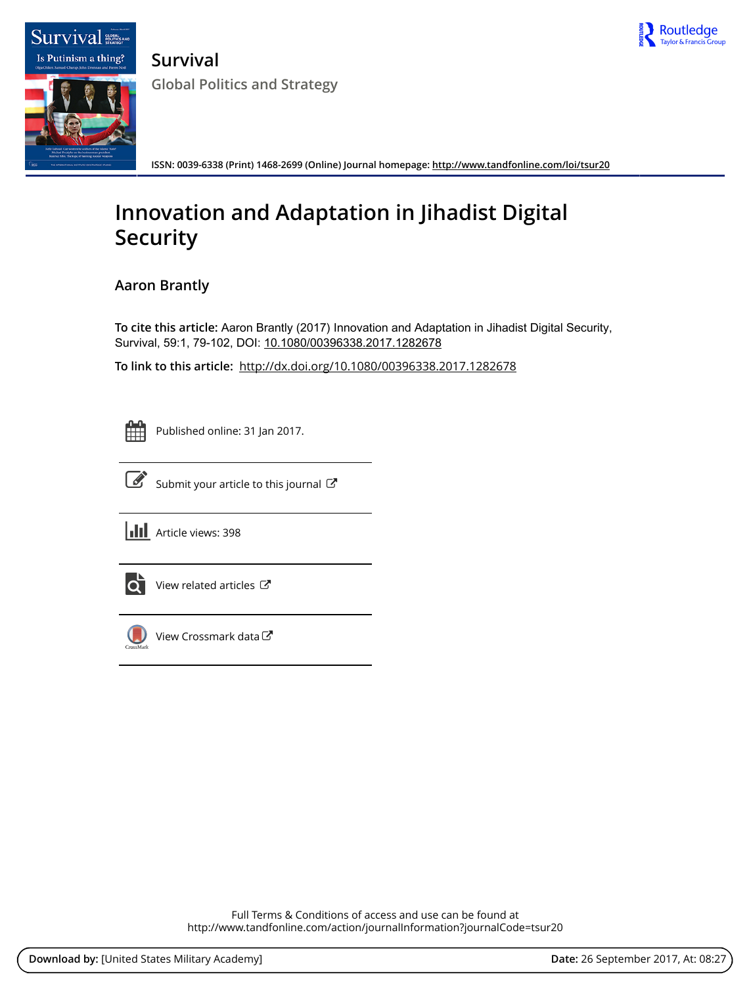

Survival Is Putinism a thing?

**Survival Global Politics and Strategy**

**ISSN: 0039-6338 (Print) 1468-2699 (Online) Journal homepage:<http://www.tandfonline.com/loi/tsur20>**

# **Innovation and Adaptation in Jihadist Digital Security**

**Aaron Brantly**

**To cite this article:** Aaron Brantly (2017) Innovation and Adaptation in Jihadist Digital Security, Survival, 59:1, 79-102, DOI: [10.1080/00396338.2017.1282678](http://www.tandfonline.com/action/showCitFormats?doi=10.1080/00396338.2017.1282678)

**To link to this article:** <http://dx.doi.org/10.1080/00396338.2017.1282678>



Published online: 31 Jan 2017.



 $\overrightarrow{S}$  [Submit your article to this journal](http://www.tandfonline.com/action/authorSubmission?journalCode=tsur20&show=instructions)  $\overrightarrow{S}$ 





[View related articles](http://www.tandfonline.com/doi/mlt/10.1080/00396338.2017.1282678) C



[View Crossmark data](http://crossmark.crossref.org/dialog/?doi=10.1080/00396338.2017.1282678&domain=pdf&date_stamp=2017-01-31)

Full Terms & Conditions of access and use can be found at <http://www.tandfonline.com/action/journalInformation?journalCode=tsur20>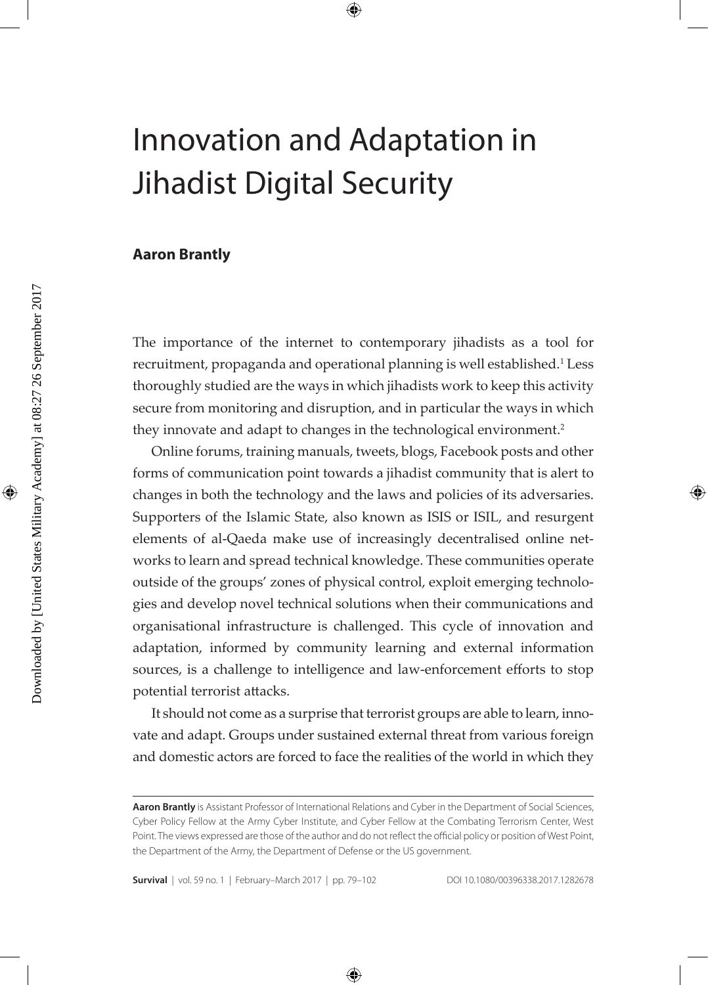# Innovation and Adaptation in Jihadist Digital Security

# **Aaron Brantly**

The importance of the internet to contemporary jihadists as a tool for recruitment, propaganda and operational planning is well established.1 Less thoroughly studied are the ways in which jihadists work to keep this activity secure from monitoring and disruption, and in particular the ways in which they innovate and adapt to changes in the technological environment.<sup>2</sup>

Online forums, training manuals, tweets, blogs, Facebook posts and other forms of communication point towards a jihadist community that is alert to changes in both the technology and the laws and policies of its adversaries. Supporters of the Islamic State, also known as ISIS or ISIL, and resurgent elements of al-Qaeda make use of increasingly decentralised online networks to learn and spread technical knowledge. These communities operate outside of the groups' zones of physical control, exploit emerging technologies and develop novel technical solutions when their communications and organisational infrastructure is challenged. This cycle of innovation and adaptation, informed by community learning and external information sources, is a challenge to intelligence and law-enforcement efforts to stop potential terrorist attacks.

It should not come as a surprise that terrorist groups are able to learn, innovate and adapt. Groups under sustained external threat from various foreign and domestic actors are forced to face the realities of the world in which they

**Aaron Brantly** is Assistant Professor of International Relations and Cyber in the Department of Social Sciences, Cyber Policy Fellow at the Army Cyber Institute, and Cyber Fellow at the Combating Terrorism Center, West Point. The views expressed are those of the author and do not reflect the official policy or position of West Point, the Department of the Army, the Department of Defense or the US government.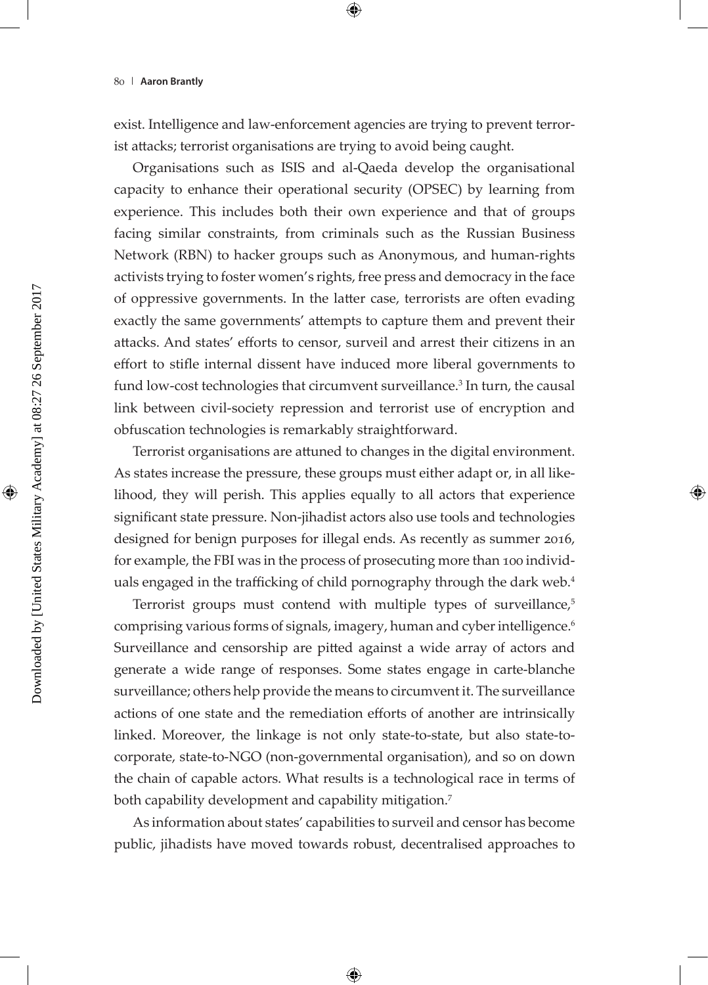exist. Intelligence and law-enforcement agencies are trying to prevent terrorist attacks; terrorist organisations are trying to avoid being caught.

Organisations such as ISIS and al-Qaeda develop the organisational capacity to enhance their operational security (OPSEC) by learning from experience. This includes both their own experience and that of groups facing similar constraints, from criminals such as the Russian Business Network (RBN) to hacker groups such as Anonymous, and human-rights activists trying to foster women's rights, free press and democracy in the face of oppressive governments. In the latter case, terrorists are often evading exactly the same governments' attempts to capture them and prevent their attacks. And states' efforts to censor, surveil and arrest their citizens in an effort to stifle internal dissent have induced more liberal governments to fund low-cost technologies that circumvent surveillance.<sup>3</sup> In turn, the causal link between civil-society repression and terrorist use of encryption and obfuscation technologies is remarkably straightforward.

Terrorist organisations are attuned to changes in the digital environment. As states increase the pressure, these groups must either adapt or, in all likelihood, they will perish. This applies equally to all actors that experience significant state pressure. Non-jihadist actors also use tools and technologies designed for benign purposes for illegal ends. As recently as summer 2016, for example, the FBI was in the process of prosecuting more than 100 individuals engaged in the trafficking of child pornography through the dark web.<sup>4</sup>

Terrorist groups must contend with multiple types of surveillance,<sup>5</sup> comprising various forms of signals, imagery, human and cyber intelligence.<sup>6</sup> Surveillance and censorship are pitted against a wide array of actors and generate a wide range of responses. Some states engage in carte-blanche surveillance; others help provide the means to circumvent it. The surveillance actions of one state and the remediation efforts of another are intrinsically linked. Moreover, the linkage is not only state-to-state, but also state-tocorporate, state-to-NGO (non-governmental organisation), and so on down the chain of capable actors. What results is a technological race in terms of both capability development and capability mitigation.<sup>7</sup>

As information about states' capabilities to surveil and censor has become public, jihadists have moved towards robust, decentralised approaches to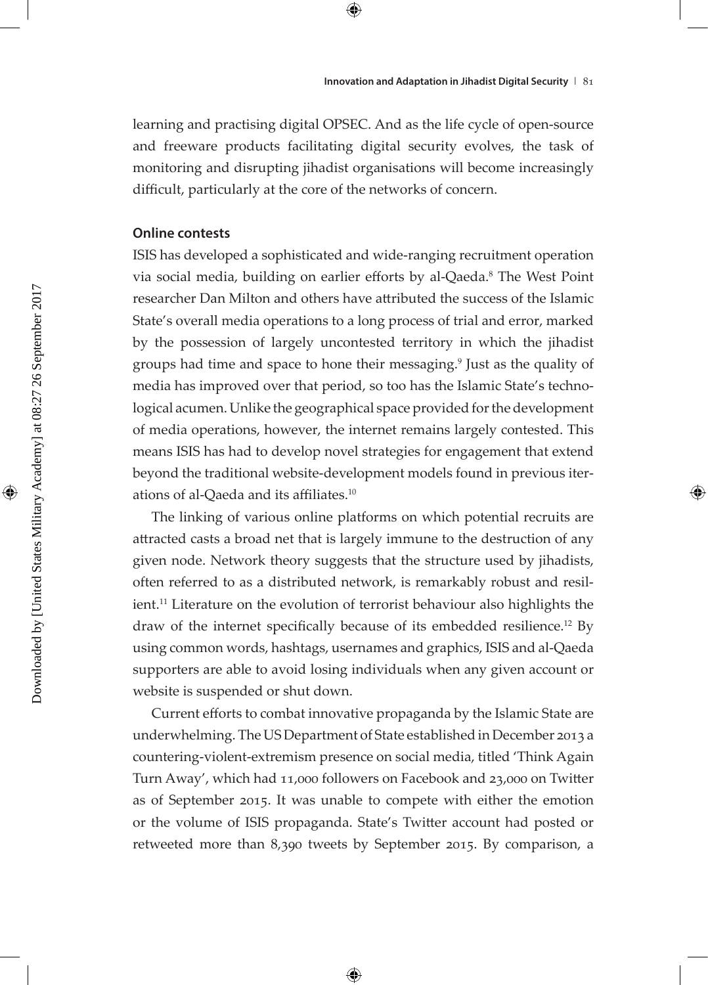learning and practising digital OPSEC. And as the life cycle of open-source and freeware products facilitating digital security evolves, the task of monitoring and disrupting jihadist organisations will become increasingly difficult, particularly at the core of the networks of concern.

# **Online contests**

ISIS has developed a sophisticated and wide-ranging recruitment operation via social media, building on earlier efforts by al-Qaeda.<sup>8</sup> The West Point researcher Dan Milton and others have attributed the success of the Islamic State's overall media operations to a long process of trial and error, marked by the possession of largely uncontested territory in which the jihadist groups had time and space to hone their messaging.<sup>9</sup> Just as the quality of media has improved over that period, so too has the Islamic State's technological acumen. Unlike the geographical space provided for the development of media operations, however, the internet remains largely contested. This means ISIS has had to develop novel strategies for engagement that extend beyond the traditional website-development models found in previous iterations of al-Qaeda and its affiliates.<sup>10</sup>

The linking of various online platforms on which potential recruits are attracted casts a broad net that is largely immune to the destruction of any given node. Network theory suggests that the structure used by jihadists, often referred to as a distributed network, is remarkably robust and resilient.11 Literature on the evolution of terrorist behaviour also highlights the draw of the internet specifically because of its embedded resilience.12 By using common words, hashtags, usernames and graphics, ISIS and al-Qaeda supporters are able to avoid losing individuals when any given account or website is suspended or shut down.

Current efforts to combat innovative propaganda by the Islamic State are underwhelming. The US Department of State established in December 2013 a countering-violent-extremism presence on social media, titled 'Think Again Turn Away', which had 11,000 followers on Facebook and 23,000 on Twitter as of September 2015. It was unable to compete with either the emotion or the volume of ISIS propaganda. State's Twitter account had posted or retweeted more than 8,390 tweets by September 2015. By comparison, a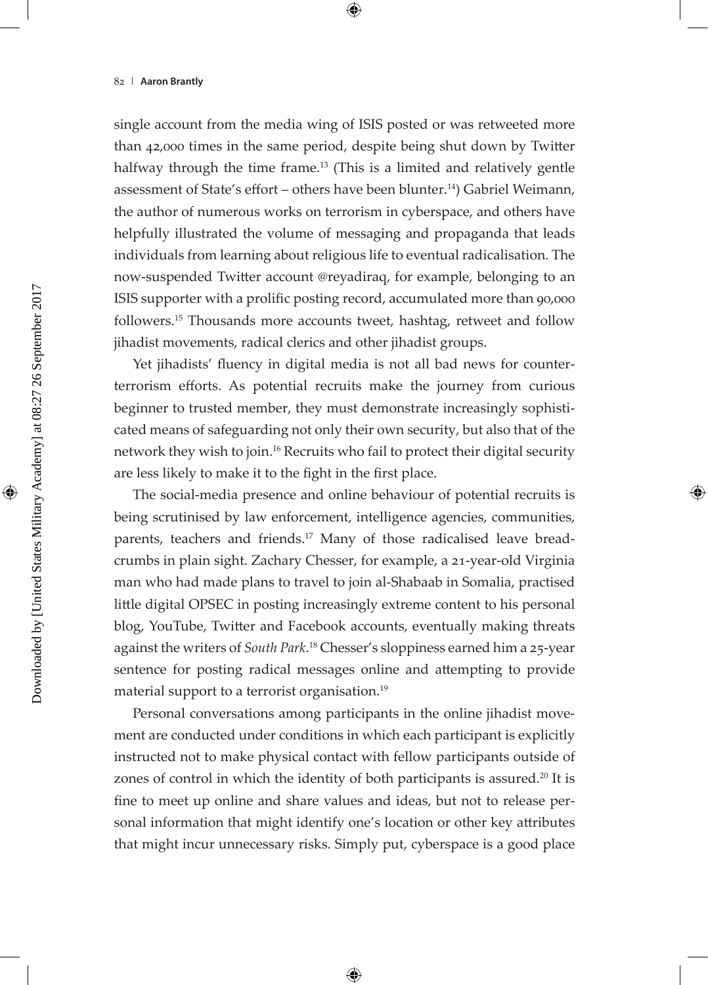single account from the media wing of ISIS posted or was retweeted more than 42,000 times in the same period, despite being shut down by Twitter halfway through the time frame.<sup>13</sup> (This is a limited and relatively gentle assessment of State's effort – others have been blunter.14) Gabriel Weimann, the author of numerous works on terrorism in cyberspace, and others have helpfully illustrated the volume of messaging and propaganda that leads individuals from learning about religious life to eventual radicalisation. The now-suspended Twitter account @reyadiraq, for example, belonging to an ISIS supporter with a prolific posting record, accumulated more than 90,000 followers.15 Thousands more accounts tweet, hashtag, retweet and follow jihadist movements, radical clerics and other jihadist groups.

Yet jihadists' fluency in digital media is not all bad news for counterterrorism efforts. As potential recruits make the journey from curious beginner to trusted member, they must demonstrate increasingly sophisticated means of safeguarding not only their own security, but also that of the network they wish to join.<sup>16</sup> Recruits who fail to protect their digital security are less likely to make it to the fight in the first place.

The social-media presence and online behaviour of potential recruits is being scrutinised by law enforcement, intelligence agencies, communities, parents, teachers and friends.<sup>17</sup> Many of those radicalised leave breadcrumbs in plain sight. Zachary Chesser, for example, a 21-year-old Virginia man who had made plans to travel to join al-Shabaab in Somalia, practised little digital OPSEC in posting increasingly extreme content to his personal blog, YouTube, Twitter and Facebook accounts, eventually making threats against the writers of *South Park*. 18 Chesser's sloppiness earned him a 25-year sentence for posting radical messages online and attempting to provide material support to a terrorist organisation.<sup>19</sup>

Personal conversations among participants in the online jihadist movement are conducted under conditions in which each participant is explicitly instructed not to make physical contact with fellow participants outside of zones of control in which the identity of both participants is assured.<sup>20</sup> It is fine to meet up online and share values and ideas, but not to release personal information that might identify one's location or other key attributes that might incur unnecessary risks. Simply put, cyberspace is a good place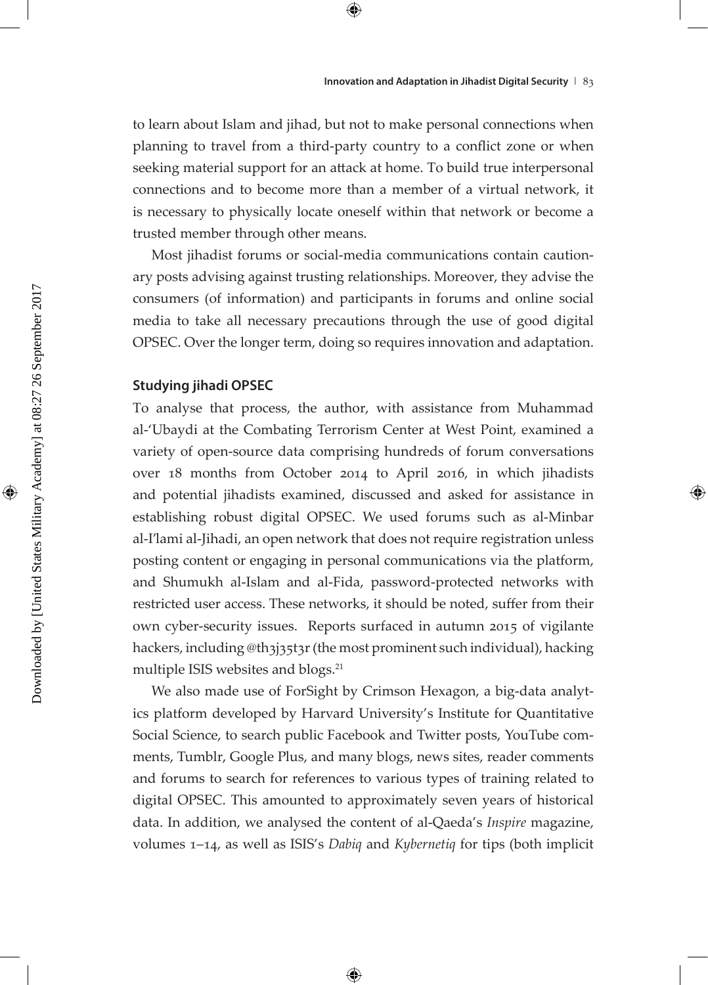to learn about Islam and jihad, but not to make personal connections when planning to travel from a third-party country to a conflict zone or when seeking material support for an attack at home. To build true interpersonal connections and to become more than a member of a virtual network, it is necessary to physically locate oneself within that network or become a trusted member through other means.

Most jihadist forums or social-media communications contain cautionary posts advising against trusting relationships. Moreover, they advise the consumers (of information) and participants in forums and online social media to take all necessary precautions through the use of good digital OPSEC. Over the longer term, doing so requires innovation and adaptation.

#### **Studying jihadi OPSEC**

To analyse that process, the author, with assistance from Muhammad al-'Ubaydi at the Combating Terrorism Center at West Point, examined a variety of open-source data comprising hundreds of forum conversations over 18 months from October 2014 to April 2016, in which jihadists and potential jihadists examined, discussed and asked for assistance in establishing robust digital OPSEC. We used forums such as al-Minbar al-I'lami al-Jihadi, an open network that does not require registration unless posting content or engaging in personal communications via the platform, and Shumukh al-Islam and al-Fida, password-protected networks with restricted user access. These networks, it should be noted, suffer from their own cyber-security issues. Reports surfaced in autumn 2015 of vigilante hackers, including @th3j35t3r (the most prominent such individual), hacking multiple ISIS websites and blogs.<sup>21</sup>

We also made use of ForSight by Crimson Hexagon, a big-data analytics platform developed by Harvard University's Institute for Quantitative Social Science, to search public Facebook and Twitter posts, YouTube comments, Tumblr, Google Plus, and many blogs, news sites, reader comments and forums to search for references to various types of training related to digital OPSEC. This amounted to approximately seven years of historical data. In addition, we analysed the content of al-Qaeda's *Inspire* magazine, volumes 1–14, as well as ISIS's *Dabiq* and *Kybernetiq* for tips (both implicit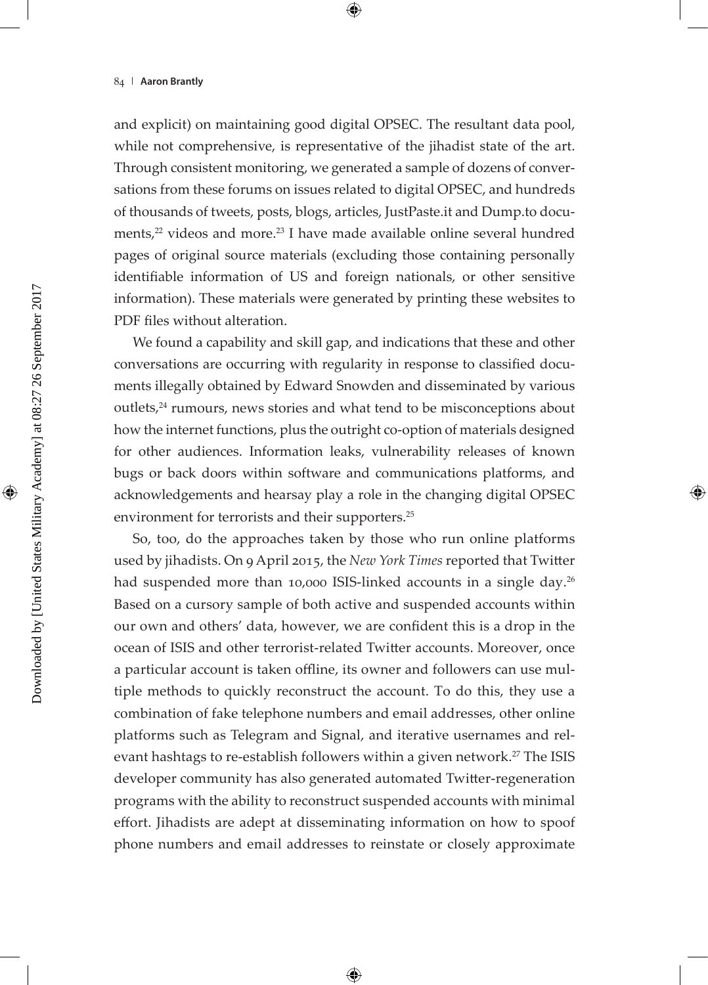and explicit) on maintaining good digital OPSEC. The resultant data pool, while not comprehensive, is representative of the jihadist state of the art. Through consistent monitoring, we generated a sample of dozens of conversations from these forums on issues related to digital OPSEC, and hundreds of thousands of tweets, posts, blogs, articles, JustPaste.it and Dump.to documents,<sup>22</sup> videos and more.<sup>23</sup> I have made available online several hundred pages of original source materials (excluding those containing personally identifiable information of US and foreign nationals, or other sensitive information). These materials were generated by printing these websites to PDF files without alteration.

We found a capability and skill gap, and indications that these and other conversations are occurring with regularity in response to classified documents illegally obtained by Edward Snowden and disseminated by various outlets,<sup>24</sup> rumours, news stories and what tend to be misconceptions about how the internet functions, plus the outright co-option of materials designed for other audiences. Information leaks, vulnerability releases of known bugs or back doors within software and communications platforms, and acknowledgements and hearsay play a role in the changing digital OPSEC environment for terrorists and their supporters.<sup>25</sup>

So, too, do the approaches taken by those who run online platforms used by jihadists. On 9 April 2015, the *New York Times* reported that Twitter had suspended more than 10,000 ISIS-linked accounts in a single day.<sup>26</sup> Based on a cursory sample of both active and suspended accounts within our own and others' data, however, we are confident this is a drop in the ocean of ISIS and other terrorist-related Twitter accounts. Moreover, once a particular account is taken offline, its owner and followers can use multiple methods to quickly reconstruct the account. To do this, they use a combination of fake telephone numbers and email addresses, other online platforms such as Telegram and Signal, and iterative usernames and relevant hashtags to re-establish followers within a given network.<sup>27</sup> The ISIS developer community has also generated automated Twitter-regeneration programs with the ability to reconstruct suspended accounts with minimal effort. Jihadists are adept at disseminating information on how to spoof phone numbers and email addresses to reinstate or closely approximate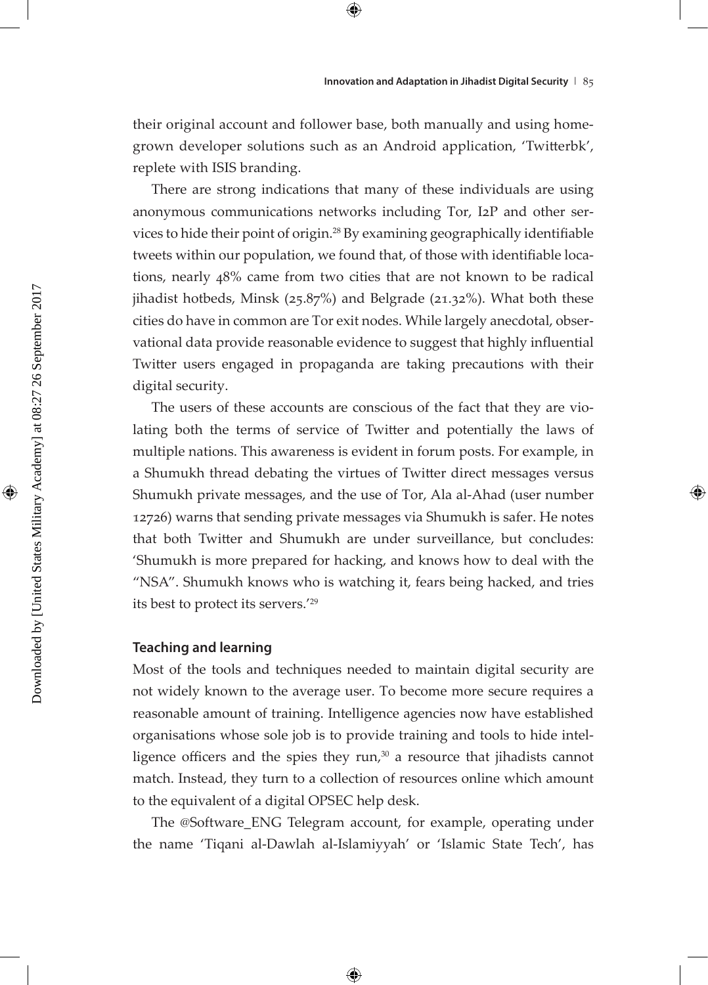their original account and follower base, both manually and using homegrown developer solutions such as an Android application, 'Twitterbk', replete with ISIS branding.

There are strong indications that many of these individuals are using anonymous communications networks including Tor, I2P and other services to hide their point of origin.28 By examining geographically identifiable tweets within our population, we found that, of those with identifiable locations, nearly 48% came from two cities that are not known to be radical jihadist hotbeds, Minsk (25.87%) and Belgrade (21.32%). What both these cities do have in common are Tor exit nodes. While largely anecdotal, observational data provide reasonable evidence to suggest that highly influential Twitter users engaged in propaganda are taking precautions with their digital security.

The users of these accounts are conscious of the fact that they are violating both the terms of service of Twitter and potentially the laws of multiple nations. This awareness is evident in forum posts. For example, in a Shumukh thread debating the virtues of Twitter direct messages versus Shumukh private messages, and the use of Tor, Ala al-Ahad (user number 12726) warns that sending private messages via Shumukh is safer. He notes that both Twitter and Shumukh are under surveillance, but concludes: 'Shumukh is more prepared for hacking, and knows how to deal with the "NSA". Shumukh knows who is watching it, fears being hacked, and tries its best to protect its servers.'<sup>29</sup>

# **Teaching and learning**

Most of the tools and techniques needed to maintain digital security are not widely known to the average user. To become more secure requires a reasonable amount of training. Intelligence agencies now have established organisations whose sole job is to provide training and tools to hide intelligence officers and the spies they run, $30$  a resource that jihadists cannot match. Instead, they turn to a collection of resources online which amount to the equivalent of a digital OPSEC help desk.

The @Software\_ENG Telegram account, for example, operating under the name 'Tiqani al-Dawlah al-Islamiyyah' or 'Islamic State Tech', has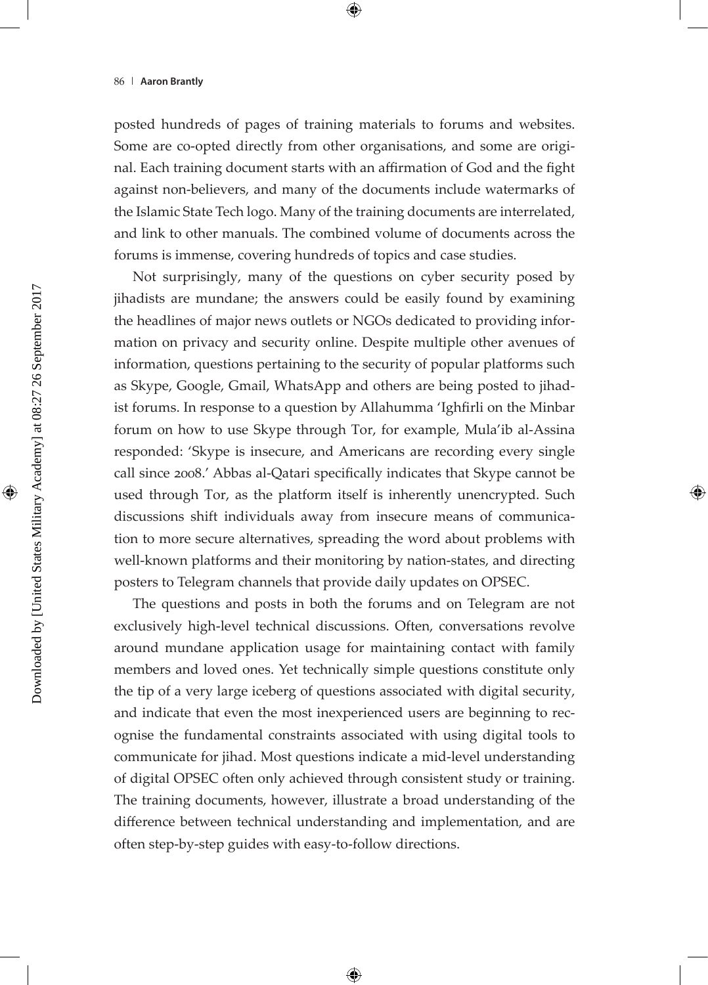posted hundreds of pages of training materials to forums and websites. Some are co-opted directly from other organisations, and some are original. Each training document starts with an affirmation of God and the fight against non-believers, and many of the documents include watermarks of the Islamic State Tech logo. Many of the training documents are interrelated, and link to other manuals. The combined volume of documents across the forums is immense, covering hundreds of topics and case studies.

Not surprisingly, many of the questions on cyber security posed by jihadists are mundane; the answers could be easily found by examining the headlines of major news outlets or NGOs dedicated to providing information on privacy and security online. Despite multiple other avenues of information, questions pertaining to the security of popular platforms such as Skype, Google, Gmail, WhatsApp and others are being posted to jihadist forums. In response to a question by Allahumma 'Ighfirli on the Minbar forum on how to use Skype through Tor, for example, Mula'ib al-Assina responded: 'Skype is insecure, and Americans are recording every single call since 2008.' Abbas al-Qatari specifically indicates that Skype cannot be used through Tor, as the platform itself is inherently unencrypted. Such discussions shift individuals away from insecure means of communication to more secure alternatives, spreading the word about problems with well-known platforms and their monitoring by nation-states, and directing posters to Telegram channels that provide daily updates on OPSEC.

The questions and posts in both the forums and on Telegram are not exclusively high-level technical discussions. Often, conversations revolve around mundane application usage for maintaining contact with family members and loved ones. Yet technically simple questions constitute only the tip of a very large iceberg of questions associated with digital security, and indicate that even the most inexperienced users are beginning to recognise the fundamental constraints associated with using digital tools to communicate for jihad. Most questions indicate a mid-level understanding of digital OPSEC often only achieved through consistent study or training. The training documents, however, illustrate a broad understanding of the difference between technical understanding and implementation, and are often step-by-step guides with easy-to-follow directions.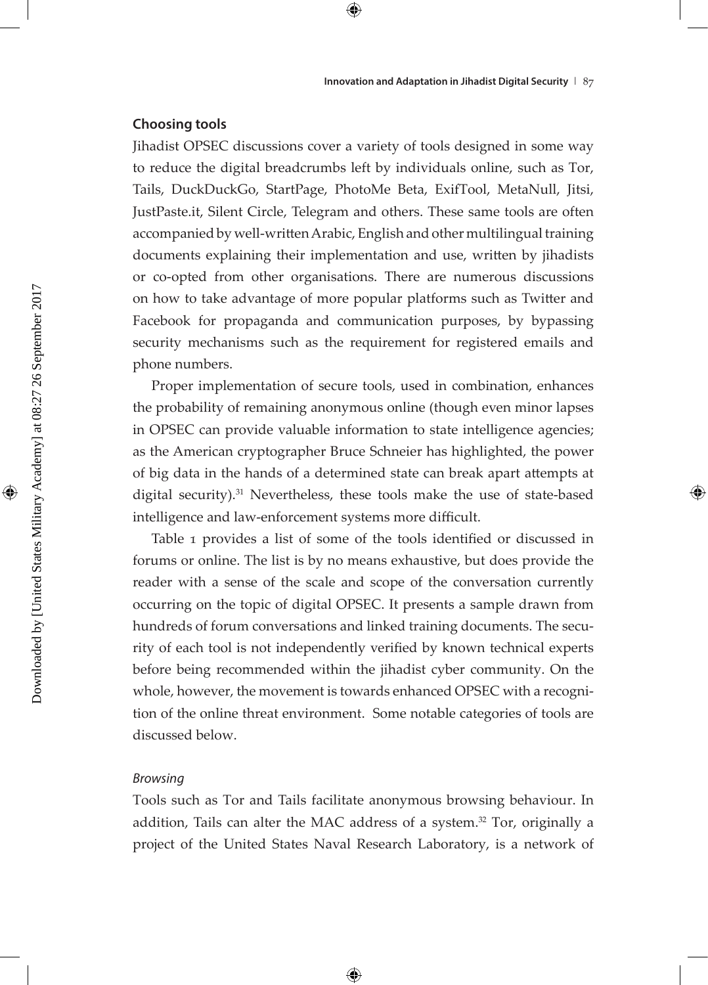#### **Choosing tools**

Jihadist OPSEC discussions cover a variety of tools designed in some way to reduce the digital breadcrumbs left by individuals online, such as Tor, Tails, DuckDuckGo, StartPage, PhotoMe Beta, ExifTool, MetaNull, Jitsi, JustPaste.it, Silent Circle, Telegram and others. These same tools are often accompanied by well-written Arabic, English and other multilingual training documents explaining their implementation and use, written by jihadists or co-opted from other organisations. There are numerous discussions on how to take advantage of more popular platforms such as Twitter and Facebook for propaganda and communication purposes, by bypassing security mechanisms such as the requirement for registered emails and phone numbers.

Proper implementation of secure tools, used in combination, enhances the probability of remaining anonymous online (though even minor lapses in OPSEC can provide valuable information to state intelligence agencies; as the American cryptographer Bruce Schneier has highlighted, the power of big data in the hands of a determined state can break apart attempts at digital security).<sup>31</sup> Nevertheless, these tools make the use of state-based intelligence and law-enforcement systems more difficult.

Table 1 provides a list of some of the tools identified or discussed in forums or online. The list is by no means exhaustive, but does provide the reader with a sense of the scale and scope of the conversation currently occurring on the topic of digital OPSEC. It presents a sample drawn from hundreds of forum conversations and linked training documents. The security of each tool is not independently verified by known technical experts before being recommended within the jihadist cyber community. On the whole, however, the movement is towards enhanced OPSEC with a recognition of the online threat environment. Some notable categories of tools are discussed below.

#### *Browsing*

Tools such as Tor and Tails facilitate anonymous browsing behaviour. In addition, Tails can alter the MAC address of a system.<sup>32</sup> Tor, originally a project of the United States Naval Research Laboratory, is a network of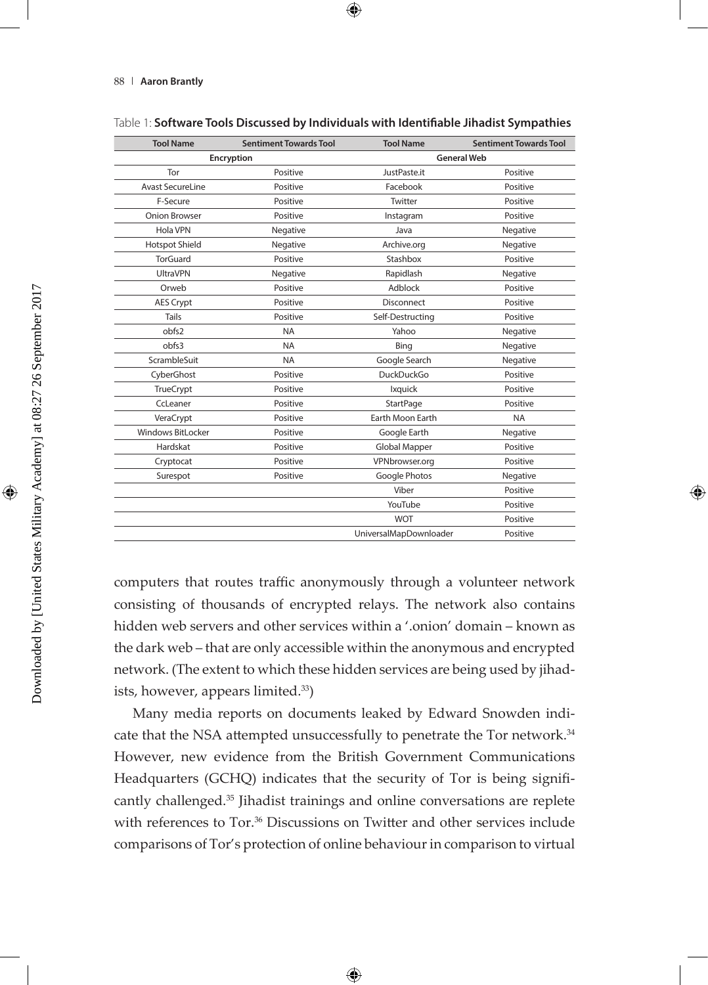| <b>Tool Name</b>         | <b>Sentiment Towards Tool</b> | <b>Tool Name</b>       | <b>Sentiment Towards Tool</b> |
|--------------------------|-------------------------------|------------------------|-------------------------------|
| Encryption               |                               | <b>General Web</b>     |                               |
| Tor                      | Positive                      | JustPaste.it           | Positive                      |
| <b>Avast SecureLine</b>  | Positive                      | Facebook               | Positive                      |
| F-Secure                 | Positive                      | Twitter                | Positive                      |
| <b>Onion Browser</b>     | Positive                      | Instagram              | Positive                      |
| Hola VPN                 | Negative                      | Java                   | Negative                      |
| <b>Hotspot Shield</b>    | Negative                      | Archive.org            | Negative                      |
| <b>TorGuard</b>          | Positive                      | Stashbox               | Positive                      |
| <b>UltraVPN</b>          | Negative                      | Rapidlash              | Negative                      |
| Orweb                    | Positive                      | Adblock                | Positive                      |
| <b>AES Crypt</b>         | Positive                      | <b>Disconnect</b>      | Positive                      |
| <b>Tails</b>             | Positive                      | Self-Destructing       | Positive                      |
| obfs2                    | <b>NA</b>                     | Yahoo                  | Negative                      |
| obfs3                    | <b>NA</b>                     | Bing                   | Negative                      |
| ScrambleSuit             | <b>NA</b>                     | Google Search          | Negative                      |
| CyberGhost               | Positive                      | <b>DuckDuckGo</b>      | Positive                      |
| TrueCrypt                | Positive                      | Ixquick                | Positive                      |
| CcLeaner                 | Positive                      | StartPage              | Positive                      |
| VeraCrypt                | Positive                      | Earth Moon Earth       | <b>NA</b>                     |
| <b>Windows BitLocker</b> | Positive                      | Google Earth           | Negative                      |
| Hardskat                 | Positive                      | <b>Global Mapper</b>   | Positive                      |
| Cryptocat                | Positive                      | VPNbrowser.org         | Positive                      |
| Surespot                 | Positive                      | <b>Google Photos</b>   | Negative                      |
|                          |                               | Viber                  | Positive                      |
|                          |                               | YouTube                | Positive                      |
|                          |                               | <b>WOT</b>             | Positive                      |
|                          |                               | UniversalMapDownloader | Positive                      |

Table 1: **Software Tools Discussed by Individuals with Identifiable Jihadist Sympathies**

computers that routes traffic anonymously through a volunteer network consisting of thousands of encrypted relays. The network also contains hidden web servers and other services within a '.onion' domain – known as the dark web – that are only accessible within the anonymous and encrypted network. (The extent to which these hidden services are being used by jihadists, however, appears limited.<sup>33</sup>)

Many media reports on documents leaked by Edward Snowden indicate that the NSA attempted unsuccessfully to penetrate the Tor network.34 However, new evidence from the British Government Communications Headquarters (GCHQ) indicates that the security of Tor is being significantly challenged.35 Jihadist trainings and online conversations are replete with references to Tor.<sup>36</sup> Discussions on Twitter and other services include comparisons of Tor's protection of online behaviour in comparison to virtual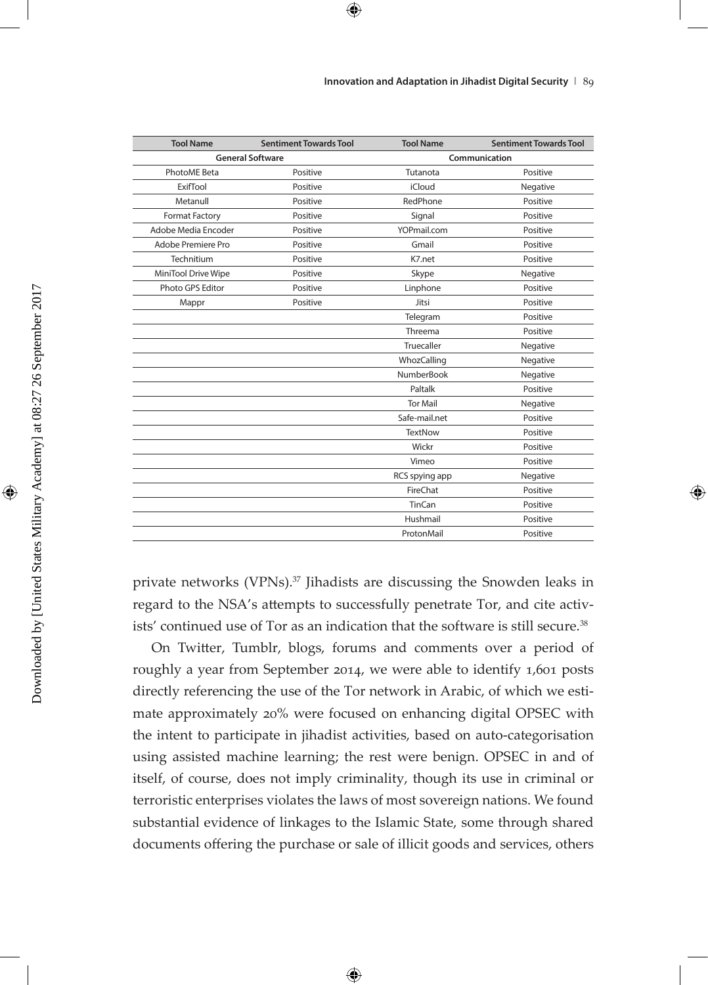| <b>Tool Name</b>        | <b>Sentiment Towards Tool</b> | <b>Tool Name</b>  | <b>Sentiment Towards Tool</b> |
|-------------------------|-------------------------------|-------------------|-------------------------------|
| <b>General Software</b> |                               | Communication     |                               |
| PhotoME Beta            | Positive                      | Tutanota          | Positive                      |
| ExifTool                | Positive                      | <i>iCloud</i>     | Negative                      |
| Metanull                | Positive                      | RedPhone          | Positive                      |
| <b>Format Factory</b>   | Positive                      | Signal            | Positive                      |
| Adobe Media Encoder     | Positive                      | YOPmail.com       | Positive                      |
| Adobe Premiere Pro      | Positive                      | Gmail             | Positive                      |
| Technitium              | Positive                      | K7.net            | Positive                      |
| MiniTool Drive Wipe     | Positive                      | Skype             | Negative                      |
| Photo GPS Editor        | Positive                      | Linphone          | Positive                      |
| Mappr                   | Positive                      | Jitsi             | Positive                      |
|                         |                               | Telegram          | Positive                      |
|                         |                               | Threema           | Positive                      |
|                         |                               | <b>Truecaller</b> | Negative                      |
|                         |                               | WhozCalling       | Negative                      |
|                         |                               | NumberBook        | Negative                      |
|                         |                               | Paltalk           | Positive                      |
|                         |                               | <b>Tor Mail</b>   | Negative                      |
|                         |                               | Safe-mail.net     | Positive                      |
|                         |                               | <b>TextNow</b>    | Positive                      |
|                         |                               | Wickr             | Positive                      |
|                         |                               | Vimeo             | Positive                      |
|                         |                               | RCS spying app    | Negative                      |
|                         |                               | FireChat          | Positive                      |
|                         |                               | <b>TinCan</b>     | Positive                      |
|                         |                               | Hushmail          | Positive                      |
|                         |                               | ProtonMail        | Positive                      |

private networks (VPNs).<sup>37</sup> Jihadists are discussing the Snowden leaks in regard to the NSA's attempts to successfully penetrate Tor, and cite activists' continued use of Tor as an indication that the software is still secure.<sup>38</sup>

On Twitter, Tumblr, blogs, forums and comments over a period of roughly a year from September 2014, we were able to identify 1,601 posts directly referencing the use of the Tor network in Arabic, of which we estimate approximately 20% were focused on enhancing digital OPSEC with the intent to participate in jihadist activities, based on auto-categorisation using assisted machine learning; the rest were benign. OPSEC in and of itself, of course, does not imply criminality, though its use in criminal or terroristic enterprises violates the laws of most sovereign nations. We found substantial evidence of linkages to the Islamic State, some through shared documents offering the purchase or sale of illicit goods and services, others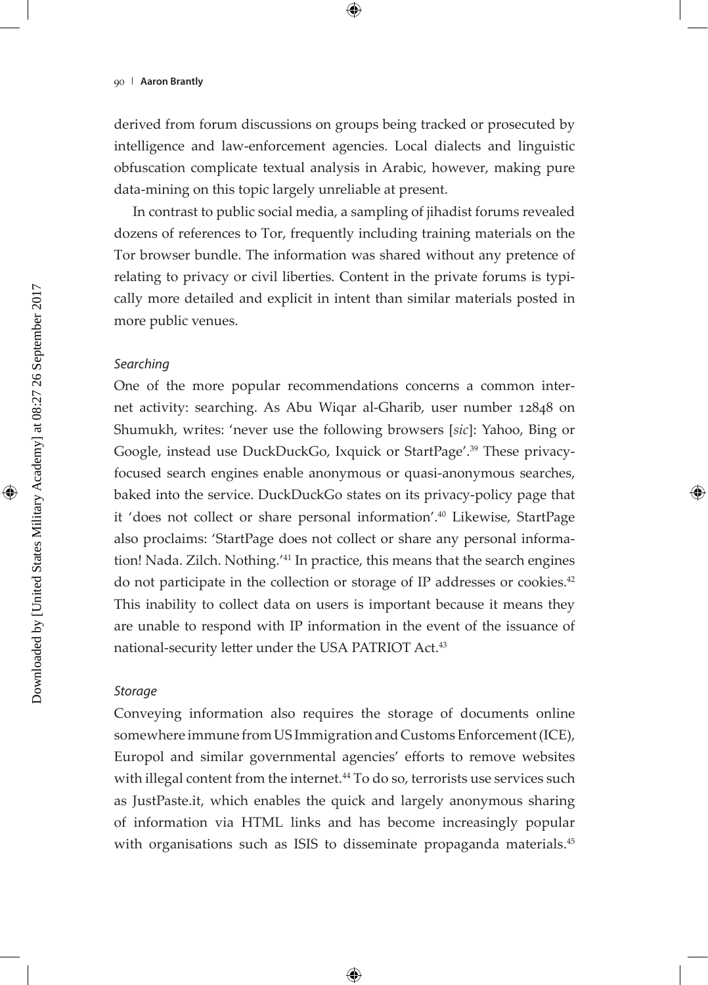derived from forum discussions on groups being tracked or prosecuted by intelligence and law-enforcement agencies. Local dialects and linguistic obfuscation complicate textual analysis in Arabic, however, making pure data-mining on this topic largely unreliable at present.

In contrast to public social media, a sampling of jihadist forums revealed dozens of references to Tor, frequently including training materials on the Tor browser bundle. The information was shared without any pretence of relating to privacy or civil liberties. Content in the private forums is typically more detailed and explicit in intent than similar materials posted in more public venues.

#### *Searching*

One of the more popular recommendations concerns a common internet activity: searching. As Abu Wiqar al-Gharib, user number 12848 on Shumukh, writes: 'never use the following browsers [*sic*]: Yahoo, Bing or Google, instead use DuckDuckGo, Ixquick or StartPage'.39 These privacyfocused search engines enable anonymous or quasi-anonymous searches, baked into the service. DuckDuckGo states on its privacy-policy page that it 'does not collect or share personal information'.40 Likewise, StartPage also proclaims: 'StartPage does not collect or share any personal information! Nada. Zilch. Nothing.'<sup>41</sup> In practice, this means that the search engines do not participate in the collection or storage of IP addresses or cookies.<sup>42</sup> This inability to collect data on users is important because it means they are unable to respond with IP information in the event of the issuance of national-security letter under the USA PATRIOT Act.<sup>43</sup>

#### *Storage*

Conveying information also requires the storage of documents online somewhere immune from US Immigration and Customs Enforcement (ICE), Europol and similar governmental agencies' efforts to remove websites with illegal content from the internet.<sup>44</sup> To do so, terrorists use services such as JustPaste.it, which enables the quick and largely anonymous sharing of information via HTML links and has become increasingly popular with organisations such as ISIS to disseminate propaganda materials.<sup>45</sup>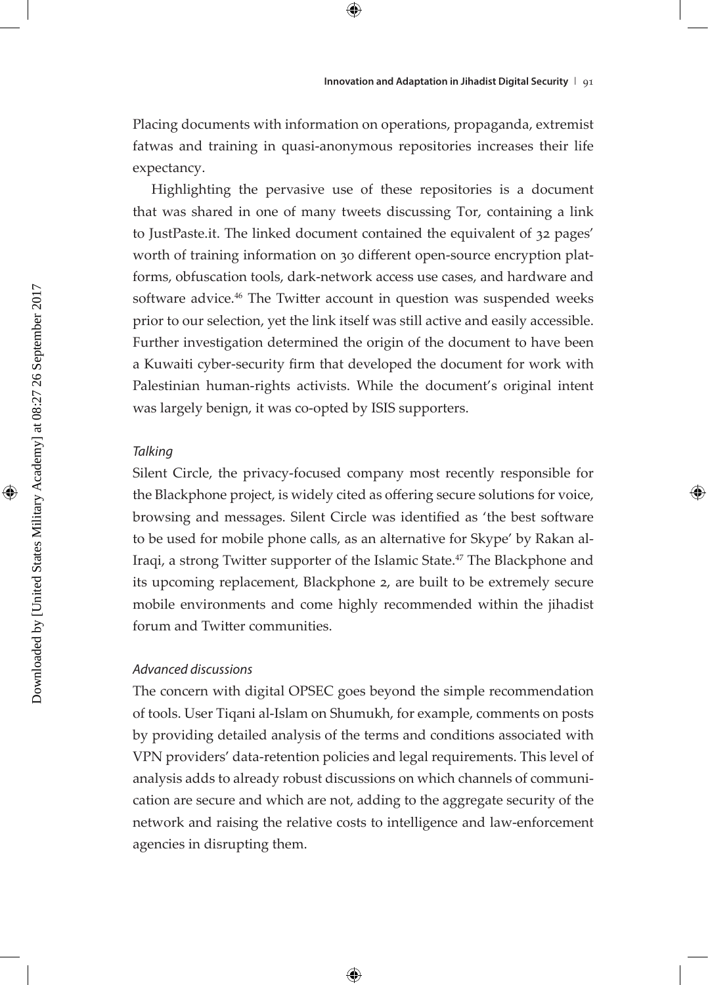Placing documents with information on operations, propaganda, extremist fatwas and training in quasi-anonymous repositories increases their life expectancy.

Highlighting the pervasive use of these repositories is a document that was shared in one of many tweets discussing Tor, containing a link to JustPaste.it. The linked document contained the equivalent of 32 pages' worth of training information on 30 different open-source encryption platforms, obfuscation tools, dark-network access use cases, and hardware and software advice.<sup>46</sup> The Twitter account in question was suspended weeks prior to our selection, yet the link itself was still active and easily accessible. Further investigation determined the origin of the document to have been a Kuwaiti cyber-security firm that developed the document for work with Palestinian human-rights activists. While the document's original intent was largely benign, it was co-opted by ISIS supporters.

# *Talking*

Silent Circle, the privacy-focused company most recently responsible for the Blackphone project, is widely cited as offering secure solutions for voice, browsing and messages. Silent Circle was identified as 'the best software to be used for mobile phone calls, as an alternative for Skype' by Rakan al-Iraqi, a strong Twitter supporter of the Islamic State.47 The Blackphone and its upcoming replacement, Blackphone 2, are built to be extremely secure mobile environments and come highly recommended within the jihadist forum and Twitter communities.

# *Advanced discussions*

The concern with digital OPSEC goes beyond the simple recommendation of tools. User Tiqani al-Islam on Shumukh, for example, comments on posts by providing detailed analysis of the terms and conditions associated with VPN providers' data-retention policies and legal requirements. This level of analysis adds to already robust discussions on which channels of communication are secure and which are not, adding to the aggregate security of the network and raising the relative costs to intelligence and law-enforcement agencies in disrupting them.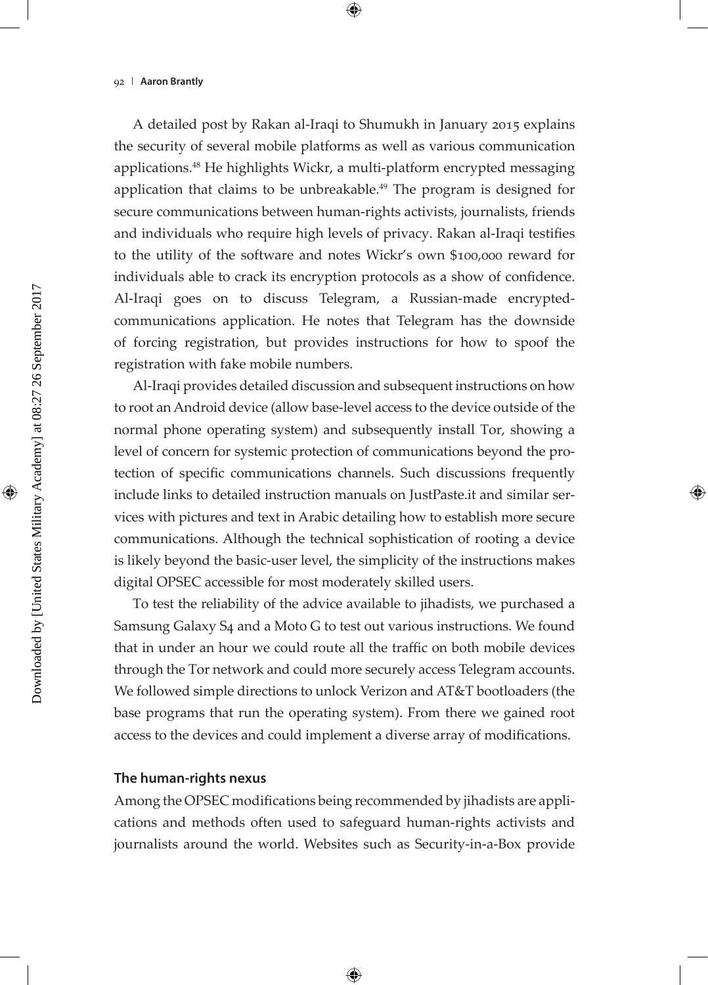A detailed post by Rakan al-Iraqi to Shumukh in January 2015 explains the security of several mobile platforms as well as various communication applications.<sup>48</sup> He highlights Wickr, a multi-platform encrypted messaging application that claims to be unbreakable.<sup>49</sup> The program is designed for secure communications between human-rights activists, journalists, friends and individuals who require high levels of privacy. Rakan al-Iraqi testifies to the utility of the software and notes Wickr's own \$100,000 reward for individuals able to crack its encryption protocols as a show of confidence. Al-Iraqi goes on to discuss Telegram, a Russian-made encryptedcommunications application. He notes that Telegram has the downside of forcing registration, but provides instructions for how to spoof the registration with fake mobile numbers.

Al-Iraqi provides detailed discussion and subsequent instructions on how to root an Android device (allow base-level access to the device outside of the normal phone operating system) and subsequently install Tor, showing a level of concern for systemic protection of communications beyond the protection of specific communications channels. Such discussions frequently include links to detailed instruction manuals on JustPaste.it and similar services with pictures and text in Arabic detailing how to establish more secure communications. Although the technical sophistication of rooting a device is likely beyond the basic-user level, the simplicity of the instructions makes digital OPSEC accessible for most moderately skilled users.

To test the reliability of the advice available to jihadists, we purchased a Samsung Galaxy S4 and a Moto G to test out various instructions. We found that in under an hour we could route all the traffic on both mobile devices through the Tor network and could more securely access Telegram accounts. We followed simple directions to unlock Verizon and AT&T bootloaders (the base programs that run the operating system). From there we gained root access to the devices and could implement a diverse array of modifications.

# **The human-rights nexus**

Among the OPSEC modifications being recommended by jihadists are applications and methods often used to safeguard human-rights activists and journalists around the world. Websites such as Security-in-a-Box provide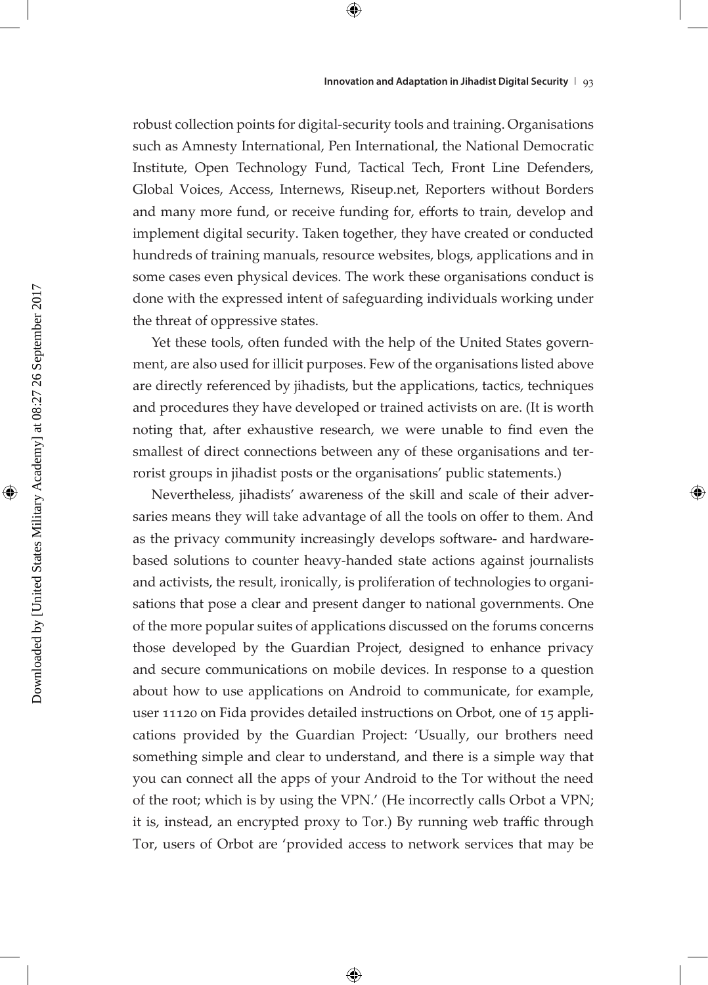robust collection points for digital-security tools and training. Organisations such as Amnesty International, Pen International, the National Democratic Institute, Open Technology Fund, Tactical Tech, Front Line Defenders, Global Voices, Access, Internews, Riseup.net, Reporters without Borders and many more fund, or receive funding for, efforts to train, develop and implement digital security. Taken together, they have created or conducted hundreds of training manuals, resource websites, blogs, applications and in some cases even physical devices. The work these organisations conduct is done with the expressed intent of safeguarding individuals working under the threat of oppressive states.

Yet these tools, often funded with the help of the United States government, are also used for illicit purposes. Few of the organisations listed above are directly referenced by jihadists, but the applications, tactics, techniques and procedures they have developed or trained activists on are. (It is worth noting that, after exhaustive research, we were unable to find even the smallest of direct connections between any of these organisations and terrorist groups in jihadist posts or the organisations' public statements.)

Nevertheless, jihadists' awareness of the skill and scale of their adversaries means they will take advantage of all the tools on offer to them. And as the privacy community increasingly develops software- and hardwarebased solutions to counter heavy-handed state actions against journalists and activists, the result, ironically, is proliferation of technologies to organisations that pose a clear and present danger to national governments. One of the more popular suites of applications discussed on the forums concerns those developed by the Guardian Project, designed to enhance privacy and secure communications on mobile devices. In response to a question about how to use applications on Android to communicate, for example, user 11120 on Fida provides detailed instructions on Orbot, one of 15 applications provided by the Guardian Project: 'Usually, our brothers need something simple and clear to understand, and there is a simple way that you can connect all the apps of your Android to the Tor without the need of the root; which is by using the VPN.' (He incorrectly calls Orbot a VPN; it is, instead, an encrypted proxy to Tor.) By running web traffic through Tor, users of Orbot are 'provided access to network services that may be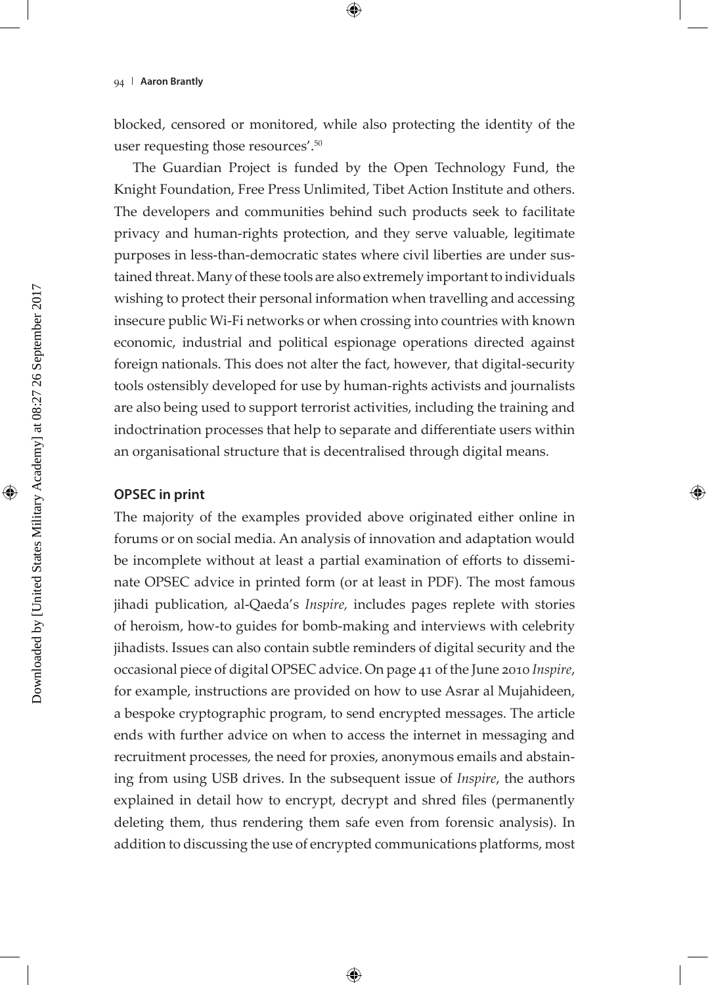blocked, censored or monitored, while also protecting the identity of the user requesting those resources'.50

The Guardian Project is funded by the Open Technology Fund, the Knight Foundation, Free Press Unlimited, Tibet Action Institute and others. The developers and communities behind such products seek to facilitate privacy and human-rights protection, and they serve valuable, legitimate purposes in less-than-democratic states where civil liberties are under sustained threat. Many of these tools are also extremely important to individuals wishing to protect their personal information when travelling and accessing insecure public Wi-Fi networks or when crossing into countries with known economic, industrial and political espionage operations directed against foreign nationals. This does not alter the fact, however, that digital-security tools ostensibly developed for use by human-rights activists and journalists are also being used to support terrorist activities, including the training and indoctrination processes that help to separate and differentiate users within an organisational structure that is decentralised through digital means.

# **OPSEC in print**

The majority of the examples provided above originated either online in forums or on social media. An analysis of innovation and adaptation would be incomplete without at least a partial examination of efforts to disseminate OPSEC advice in printed form (or at least in PDF). The most famous jihadi publication, al-Qaeda's *Inspire,* includes pages replete with stories of heroism, how-to guides for bomb-making and interviews with celebrity jihadists. Issues can also contain subtle reminders of digital security and the occasional piece of digital OPSEC advice. On page 41 of the June 2010 *Inspire*, for example, instructions are provided on how to use Asrar al Mujahideen, a bespoke cryptographic program, to send encrypted messages. The article ends with further advice on when to access the internet in messaging and recruitment processes, the need for proxies, anonymous emails and abstaining from using USB drives. In the subsequent issue of *Inspire*, the authors explained in detail how to encrypt, decrypt and shred files (permanently deleting them, thus rendering them safe even from forensic analysis). In addition to discussing the use of encrypted communications platforms, most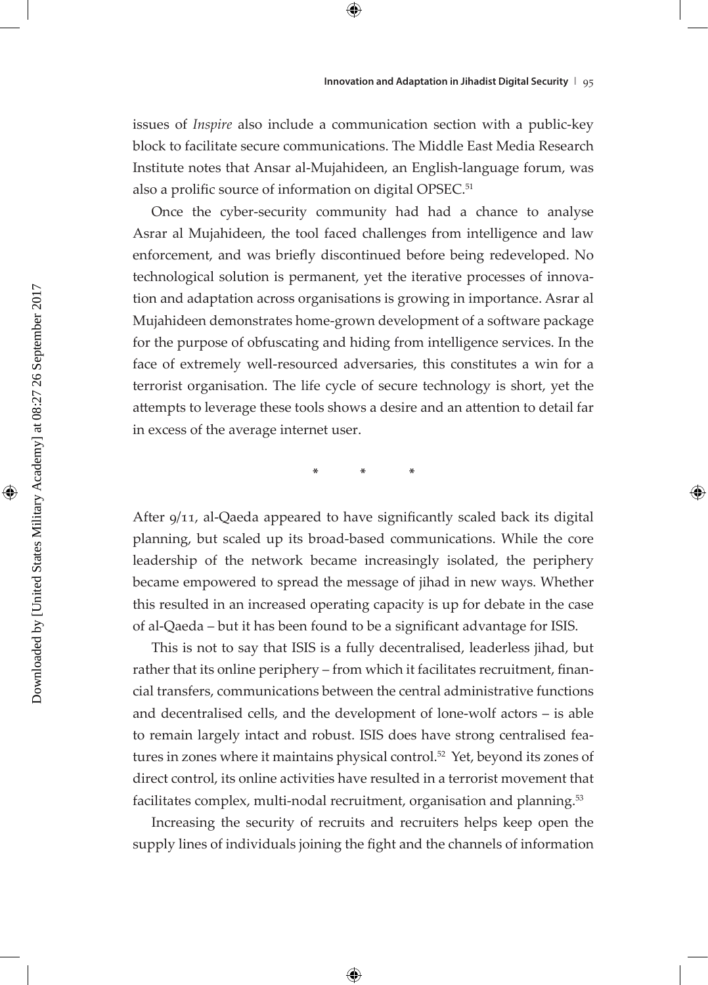issues of *Inspire* also include a communication section with a public-key block to facilitate secure communications. The Middle East Media Research Institute notes that Ansar al-Mujahideen, an English-language forum, was also a prolific source of information on digital OPSEC.<sup>51</sup>

Once the cyber-security community had had a chance to analyse Asrar al Mujahideen, the tool faced challenges from intelligence and law enforcement, and was briefly discontinued before being redeveloped. No technological solution is permanent, yet the iterative processes of innovation and adaptation across organisations is growing in importance. Asrar al Mujahideen demonstrates home-grown development of a software package for the purpose of obfuscating and hiding from intelligence services. In the face of extremely well-resourced adversaries, this constitutes a win for a terrorist organisation. The life cycle of secure technology is short, yet the attempts to leverage these tools shows a desire and an attention to detail far in excess of the average internet user.

**\* \* \***

After 9/11, al-Qaeda appeared to have significantly scaled back its digital planning, but scaled up its broad-based communications. While the core leadership of the network became increasingly isolated, the periphery became empowered to spread the message of jihad in new ways. Whether this resulted in an increased operating capacity is up for debate in the case of al-Qaeda – but it has been found to be a significant advantage for ISIS.

This is not to say that ISIS is a fully decentralised, leaderless jihad, but rather that its online periphery – from which it facilitates recruitment, financial transfers, communications between the central administrative functions and decentralised cells, and the development of lone-wolf actors – is able to remain largely intact and robust. ISIS does have strong centralised features in zones where it maintains physical control.<sup>52</sup> Yet, beyond its zones of direct control, its online activities have resulted in a terrorist movement that facilitates complex, multi-nodal recruitment, organisation and planning.<sup>53</sup>

Increasing the security of recruits and recruiters helps keep open the supply lines of individuals joining the fight and the channels of information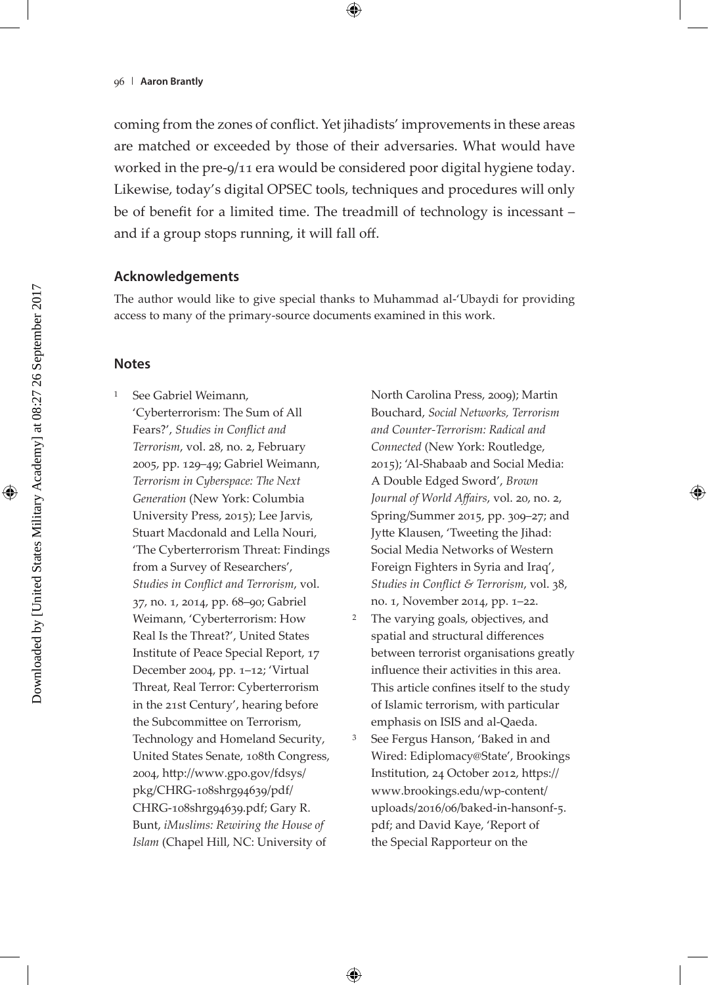coming from the zones of conflict. Yet jihadists' improvements in these areas are matched or exceeded by those of their adversaries. What would have worked in the pre-9/11 era would be considered poor digital hygiene today. Likewise, today's digital OPSEC tools, techniques and procedures will only be of benefit for a limited time. The treadmill of technology is incessant – and if a group stops running, it will fall off.

#### **Acknowledgements**

The author would like to give special thanks to Muhammad al-'Ubaydi for providing access to many of the primary-source documents examined in this work.

#### **Notes**

See Gabriel Weimann, 'Cyberterrorism: The Sum of All Fears?', *Studies in Conflict and Terrorism*, vol. 28, no. 2, February 2005, pp. 129–49; Gabriel Weimann, *Terrorism in Cyberspace: The Next Generation* (New York: Columbia University Press, 2015); Lee Jarvis, Stuart Macdonald and Lella Nouri, 'The Cyberterrorism Threat: Findings from a Survey of Researchers', *Studies in Conflict and Terrorism*, vol. 37, no. 1, 2014, pp. 68–90; Gabriel Weimann, 'Cyberterrorism: How Real Is the Threat?', United States Institute of Peace Special Report, 17 December 2004, pp. 1–12; 'Virtual Threat, Real Terror: Cyberterrorism in the 21st Century', hearing before the Subcommittee on Terrorism, Technology and Homeland Security, United States Senate, 108th Congress, 2004, http://www.gpo.gov/fdsys/ pkg/CHRG-108shrg94639/pdf/ CHRG-108shrg94639.pdf; Gary R. Bunt, *iMuslims: Rewiring the House of Islam* (Chapel Hill, NC: University of

North Carolina Press, 2009); Martin Bouchard, *Social Networks, Terrorism and Counter-Terrorism: Radical and Connected* (New York: Routledge, 2015); 'Al-Shabaab and Social Media: A Double Edged Sword', *Brown Journal of World Affairs*, vol. 20, no. 2, Spring/Summer 2015, pp. 309–27; and Jytte Klausen, 'Tweeting the Jihad: Social Media Networks of Western Foreign Fighters in Syria and Iraq', *Studies in Conflict & Terrorism*, vol. 38, no. 1, November 2014, pp. 1–22.

- <sup>2</sup> The varying goals, objectives, and spatial and structural differences between terrorist organisations greatly influence their activities in this area. This article confines itself to the study of Islamic terrorism, with particular emphasis on ISIS and al-Qaeda.
- <sup>3</sup> See Fergus Hanson, 'Baked in and Wired: Ediplomacy@State', Brookings Institution, 24 October 2012, https:// www.brookings.edu/wp-content/ uploads/2016/06/baked-in-hansonf-5. pdf; and David Kaye, 'Report of the Special Rapporteur on the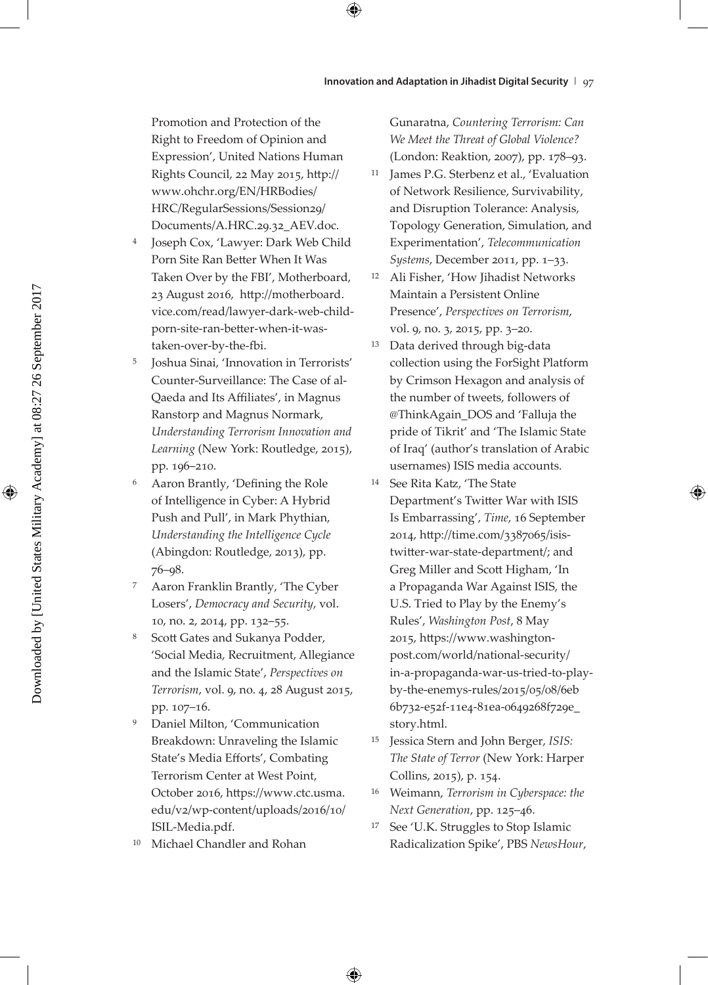Promotion and Protection of the Right to Freedom of Opinion and Expression', United Nations Human Rights Council, 22 May 2015, http:// www.ohchr.org/EN/HRBodies/ HRC/RegularSessions/Session29/ Documents/A.HRC.29.32\_AEV.doc.

- <sup>4</sup> Joseph Cox, 'Lawyer: Dark Web Child Porn Site Ran Better When It Was Taken Over by the FBI', Motherboard, 23 August 2016, http://motherboard. vice.com/read/lawyer-dark-web-childporn-site-ran-better-when-it-wastaken-over-by-the-fbi.
- <sup>5</sup> Joshua Sinai, 'Innovation in Terrorists' Counter-Surveillance: The Case of al-Qaeda and Its Affiliates', in Magnus Ranstorp and Magnus Normark, *Understanding Terrorism Innovation and Learning* (New York: Routledge, 2015), pp. 196–210.
- <sup>6</sup> Aaron Brantly, 'Defining the Role of Intelligence in Cyber: A Hybrid Push and Pull', in Mark Phythian, *Understanding the Intelligence Cycle* (Abingdon: Routledge, 2013), pp. 76–98.
- <sup>7</sup> Aaron Franklin Brantly, 'The Cyber Losers', *Democracy and Security*, vol. 10, no. 2, 2014, pp. 132–55.
- <sup>8</sup> Scott Gates and Sukanya Podder, 'Social Media, Recruitment, Allegiance and the Islamic State', *Perspectives on Terrorism*, vol. 9, no. 4, 28 August 2015, pp. 107–16.
- <sup>9</sup> Daniel Milton, 'Communication Breakdown: Unraveling the Islamic State's Media Efforts', Combating Terrorism Center at West Point, October 2016, https://www.ctc.usma. edu/v2/wp-content/uploads/2016/10/ ISIL-Media.pdf.
- Michael Chandler and Rohan

Gunaratna, *Countering Terrorism: Can We Meet the Threat of Global Violence?* (London: Reaktion, 2007), pp. 178–93.

- <sup>11</sup> James P.G. Sterbenz et al., 'Evaluation of Network Resilience, Survivability, and Disruption Tolerance: Analysis, Topology Generation, Simulation, and Experimentation', *Telecommunication Systems*, December 2011, pp. 1–33.
- <sup>12</sup> Ali Fisher, 'How Jihadist Networks Maintain a Persistent Online Presence', *Perspectives on Terrorism*, vol. 9, no. 3, 2015, pp. 3–20.
- <sup>13</sup> Data derived through big-data collection using the ForSight Platform by Crimson Hexagon and analysis of the number of tweets, followers of @ThinkAgain\_DOS and 'Falluja the pride of Tikrit' and 'The Islamic State of Iraq' (author's translation of Arabic usernames) ISIS media accounts.
- <sup>14</sup> See Rita Katz, 'The State Department's Twitter War with ISIS Is Embarrassing', *Time*, 16 September 2014, http://time.com/3387065/isistwitter-war-state-department/; and Greg Miller and Scott Higham, 'In a Propaganda War Against ISIS, the U.S. Tried to Play by the Enemy's Rules', *Washington Post*, 8 May 2015, https://www.washingtonpost.com/world/national-security/ in-a-propaganda-war-us-tried-to-playby-the-enemys-rules/2015/05/08/6eb 6b732-e52f-11e4-81ea-0649268f729e\_ story.html.
- <sup>15</sup> Jessica Stern and John Berger, *ISIS: The State of Terror* (New York: Harper Collins, 2015), p. 154.
- <sup>16</sup> Weimann, *Terrorism in Cyberspace: the Next Generation*, pp. 125–46.
- <sup>17</sup> See 'U.K. Struggles to Stop Islamic Radicalization Spike', PBS *NewsHour*,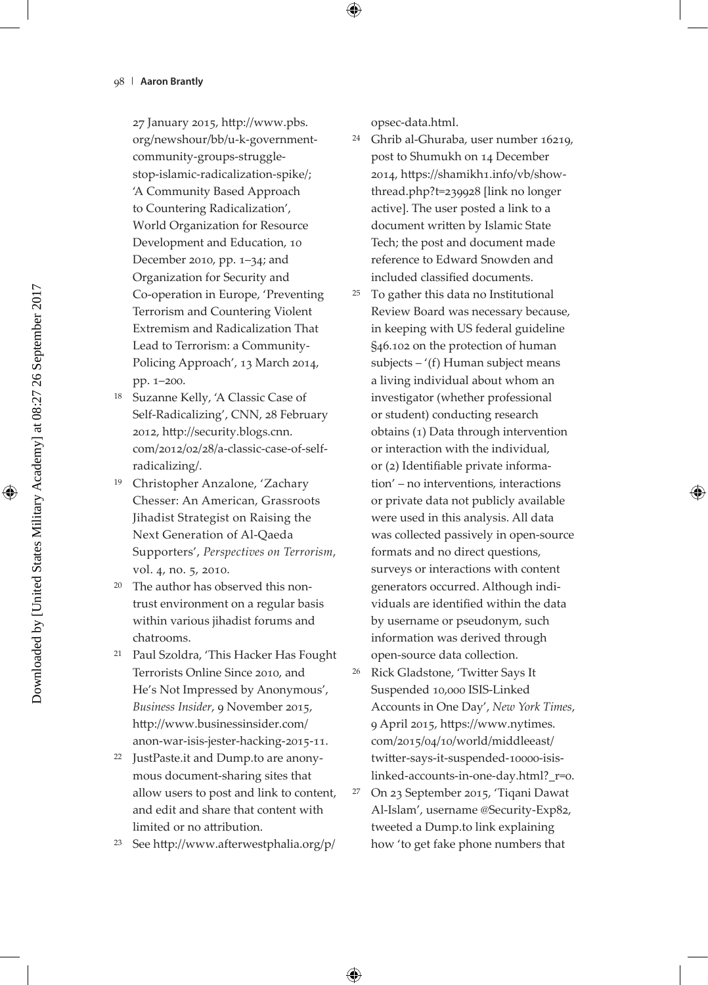27 January 2015, http://www.pbs. org/newshour/bb/u-k-governmentcommunity-groups-strugglestop-islamic-radicalization-spike/; 'A Community Based Approach to Countering Radicalization', World Organization for Resource Development and Education, 10 December 2010, pp. 1–34; and Organization for Security and Co-operation in Europe, 'Preventing Terrorism and Countering Violent Extremism and Radicalization That Lead to Terrorism: a Community-Policing Approach', 13 March 2014, pp. 1–200.

- <sup>18</sup> Suzanne Kelly, 'A Classic Case of Self-Radicalizing', CNN, 28 February 2012, http://security.blogs.cnn. com/2012/02/28/a-classic-case-of-selfradicalizing/.
- <sup>19</sup> Christopher Anzalone, 'Zachary Chesser: An American, Grassroots Jihadist Strategist on Raising the Next Generation of Al-Qaeda Supporters', *Perspectives on Terrorism*, vol. 4, no. 5, 2010.
- <sup>20</sup> The author has observed this nontrust environment on a regular basis within various jihadist forums and chatrooms.
- <sup>21</sup> Paul Szoldra, 'This Hacker Has Fought Terrorists Online Since 2010, and He's Not Impressed by Anonymous', *Business Insider*, 9 November 2015, http://www.businessinsider.com/ anon-war-isis-jester-hacking-2015-11.
- <sup>22</sup> JustPaste.it and Dump.to are anonymous document-sharing sites that allow users to post and link to content, and edit and share that content with limited or no attribution.
- See http://www.afterwestphalia.org/p/

opsec-data.html.

- <sup>24</sup> Ghrib al-Ghuraba, user number 16219, post to Shumukh on 14 December 2014, https://shamikh1.info/vb/showthread.php?t=239928 [link no longer active]. The user posted a link to a document written by Islamic State Tech; the post and document made reference to Edward Snowden and included classified documents.
- <sup>25</sup> To gather this data no Institutional Review Board was necessary because, in keeping with US federal guideline §46.102 on the protection of human subjects – '(f) Human subject means a living individual about whom an investigator (whether professional or student) conducting research obtains (1) Data through intervention or interaction with the individual, or (2) Identifiable private information' – no interventions, interactions or private data not publicly available were used in this analysis. All data was collected passively in open-source formats and no direct questions, surveys or interactions with content generators occurred. Although individuals are identified within the data by username or pseudonym, such information was derived through open-source data collection.
- <sup>26</sup> Rick Gladstone, 'Twitter Says It Suspended 10,000 ISIS-Linked Accounts in One Day', *New York Times*, 9 April 2015, https://www.nytimes. com/2015/04/10/world/middleeast/ twitter-says-it-suspended-10000-isislinked-accounts-in-one-day.html?\_r=0.
- <sup>27</sup> On 23 September 2015, 'Tiqani Dawat Al-Islam', username @Security-Exp82, tweeted a Dump.to link explaining how 'to get fake phone numbers that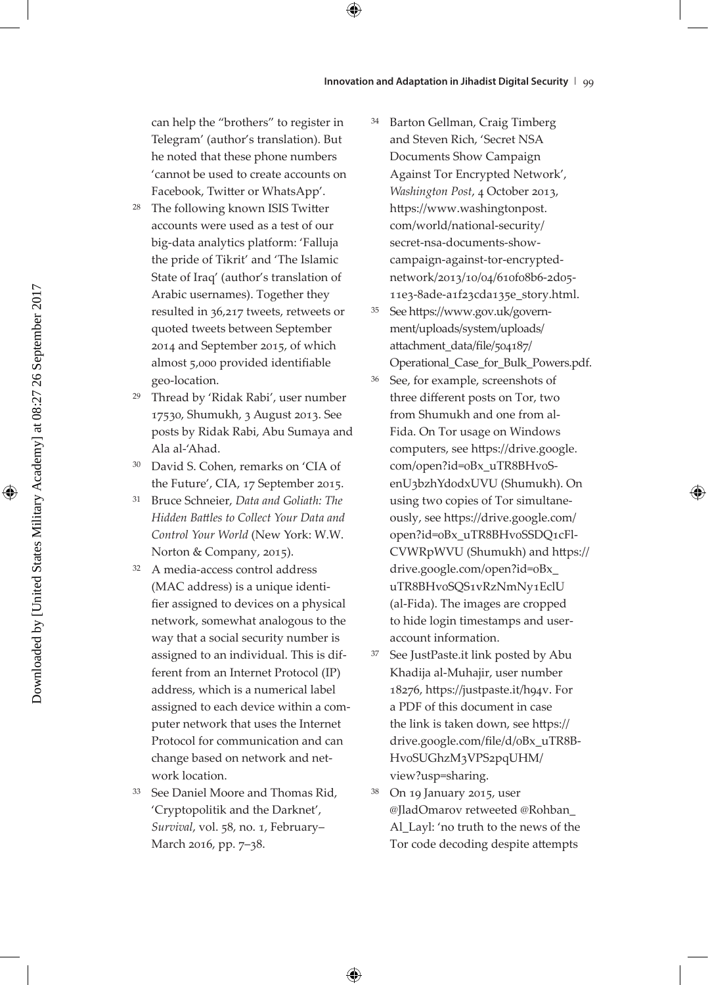can help the "brothers" to register in Telegram' (author's translation). But he noted that these phone numbers 'cannot be used to create accounts on Facebook, Twitter or WhatsApp'.

- <sup>28</sup> The following known ISIS Twitter accounts were used as a test of our big-data analytics platform: 'Falluja the pride of Tikrit' and 'The Islamic State of Iraq' (author's translation of Arabic usernames). Together they resulted in 36,217 tweets, retweets or quoted tweets between September 2014 and September 2015, of which almost 5,000 provided identifiable geo-location.
- <sup>29</sup> Thread by 'Ridak Rabi', user number 17530, Shumukh, 3 August 2013. See posts by Ridak Rabi, Abu Sumaya and Ala al-'Ahad.
- <sup>30</sup> David S. Cohen, remarks on 'CIA of the Future', CIA, 17 September 2015.
- <sup>31</sup> Bruce Schneier, *Data and Goliath: The Hidden Battles to Collect Your Data and Control Your World* (New York: W.W. Norton & Company, 2015).
- <sup>32</sup> A media-access control address (MAC address) is a unique identifier assigned to devices on a physical network, somewhat analogous to the way that a social security number is assigned to an individual. This is different from an Internet Protocol (IP) address, which is a numerical label assigned to each device within a computer network that uses the Internet Protocol for communication and can change based on network and network location.
- <sup>33</sup> See Daniel Moore and Thomas Rid, 'Cryptopolitik and the Darknet', *Survival*, vol. 58, no. 1, February– March 2016, pp. 7–38.
- <sup>34</sup> Barton Gellman, Craig Timberg and Steven Rich, 'Secret NSA Documents Show Campaign Against Tor Encrypted Network', *Washington Post*, 4 October 2013, https://www.washingtonpost. com/world/national-security/ secret-nsa-documents-showcampaign-against-tor-encryptednetwork/2013/10/04/610f08b6-2d05- 11e3-8ade-a1f23cda135e\_story.html.
- <sup>35</sup> See https://www.gov.uk/government/uploads/system/uploads/ attachment\_data/file/504187/ Operational\_Case\_for\_Bulk\_Powers.pdf.
- <sup>36</sup> See, for example, screenshots of three different posts on Tor, two from Shumukh and one from al-Fida. On Tor usage on Windows computers, see https://drive.google. com/open?id=0Bx\_uTR8BHv0SenU3bzhYd0dxUVU (Shumukh). On using two copies of Tor simultaneously, see https://drive.google.com/ open?id=0Bx\_uTR8BHv0SSDQ1cFl-CVWRpWVU (Shumukh) and https:// drive.google.com/open?id=0Bx\_ uTR8BHv0SQS1vRzNmNy1EclU (al-Fida). The images are cropped to hide login timestamps and useraccount information.
- <sup>37</sup> See JustPaste.it link posted by Abu Khadija al-Muhajir, user number 18276, https://justpaste.it/h94v. For a PDF of this document in case the link is taken down, see https:// drive.google.com/file/d/0Bx\_uTR8B-Hv0SUGhzM3VPS2pqUHM/ view?usp=sharing.
- <sup>38</sup> On 19 January 2015, user @JladOmarov retweeted @Rohban\_ Al\_Layl: 'no truth to the news of the Tor code decoding despite attempts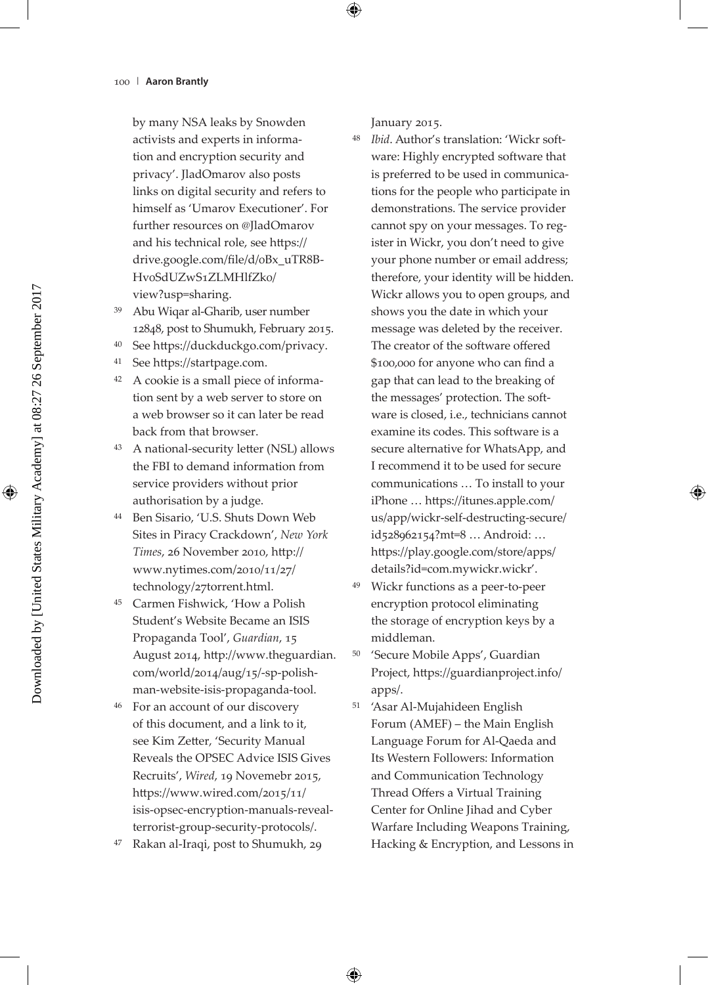by many NSA leaks by Snowden activists and experts in information and encryption security and privacy'. JladOmarov also posts links on digital security and refers to himself as 'Umarov Executioner'. For further resources on @JladOmarov and his technical role, see https:// drive.google.com/file/d/0Bx\_uTR8B-Hv0SdUZwS1ZLMHlfZk0/ view?usp=sharing.

- <sup>39</sup> Abu Wiqar al-Gharib, user number 12848, post to Shumukh, February 2015.
- <sup>40</sup> See https://duckduckgo.com/privacy.
- <sup>41</sup> See https://startpage.com.
- <sup>42</sup> A cookie is a small piece of information sent by a web server to store on a web browser so it can later be read back from that browser.
- <sup>43</sup> A national-security letter (NSL) allows the FBI to demand information from service providers without prior authorisation by a judge.
- <sup>44</sup> Ben Sisario, 'U.S. Shuts Down Web Sites in Piracy Crackdown', *New York Times*, 26 November 2010, http:// www.nytimes.com/2010/11/27/ technology/27torrent.html.
- <sup>45</sup> Carmen Fishwick, 'How a Polish Student's Website Became an ISIS Propaganda Tool', *Guardian*, 15 August 2014, http://www.theguardian. com/world/2014/aug/15/-sp-polishman-website-isis-propaganda-tool.
- <sup>46</sup> For an account of our discovery of this document, and a link to it, see Kim Zetter, 'Security Manual Reveals the OPSEC Advice ISIS Gives Recruits', *Wired*, 19 Novemebr 2015, https://www.wired.com/2015/11/ isis-opsec-encryption-manuals-revealterrorist-group-security-protocols/.
- Rakan al-Iraqi, post to Shumukh, 29

January 2015.

- <sup>48</sup> *Ibid*. Author's translation: 'Wickr software: Highly encrypted software that is preferred to be used in communications for the people who participate in demonstrations. The service provider cannot spy on your messages. To register in Wickr, you don't need to give your phone number or email address; therefore, your identity will be hidden. Wickr allows you to open groups, and shows you the date in which your message was deleted by the receiver. The creator of the software offered \$100,000 for anyone who can find a gap that can lead to the breaking of the messages' protection. The software is closed, i.e., technicians cannot examine its codes. This software is a secure alternative for WhatsApp, and I recommend it to be used for secure communications … To install to your iPhone … https://itunes.apple.com/ us/app/wickr-self-destructing-secure/ id528962154?mt=8 … Android: … https://play.google.com/store/apps/ details?id=com.mywickr.wickr'.
- <sup>49</sup> Wickr functions as a peer-to-peer encryption protocol eliminating the storage of encryption keys by a middleman.
- <sup>50</sup> 'Secure Mobile Apps', Guardian Project, https://guardianproject.info/ apps/.
- <sup>51</sup> 'Asar Al-Mujahideen English Forum (AMEF) – the Main English Language Forum for Al-Qaeda and Its Western Followers: Information and Communication Technology Thread Offers a Virtual Training Center for Online Jihad and Cyber Warfare Including Weapons Training, Hacking & Encryption, and Lessons in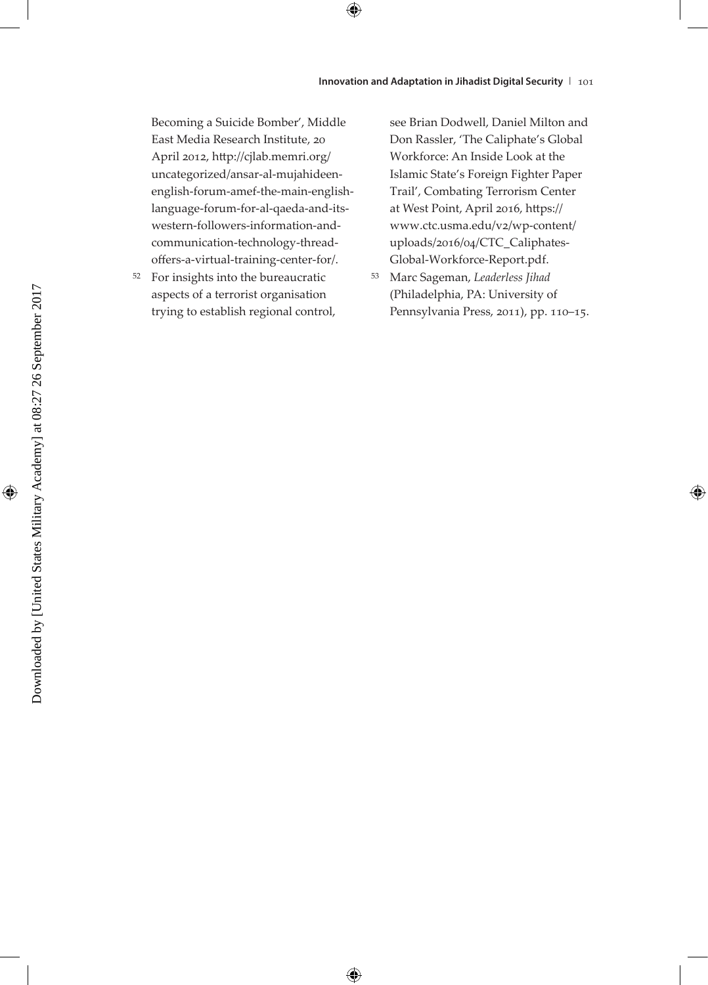Becoming a Suicide Bomber', Middle East Media Research Institute, 20 April 2012, http://cjlab.memri.org/ uncategorized/ansar-al-mujahideenenglish-forum-amef-the-main-englishlanguage-forum-for-al-qaeda-and-itswestern-followers-information-andcommunication-technology-threadoffers-a-virtual-training-center-for/.

<sup>52</sup> For insights into the bureaucratic aspects of a terrorist organisation trying to establish regional control, see Brian Dodwell, Daniel Milton and Don Rassler, 'The Caliphate's Global Workforce: An Inside Look at the Islamic State's Foreign Fighter Paper Trail', Combating Terrorism Center at West Point, April 2016, https:// www.ctc.usma.edu/v2/wp-content/ uploads/2016/04/CTC\_Caliphates-Global-Workforce-Report.pdf.

<sup>53</sup> Marc Sageman, *Leaderless Jihad* (Philadelphia, PA: University of Pennsylvania Press, 2011), pp. 110–15.